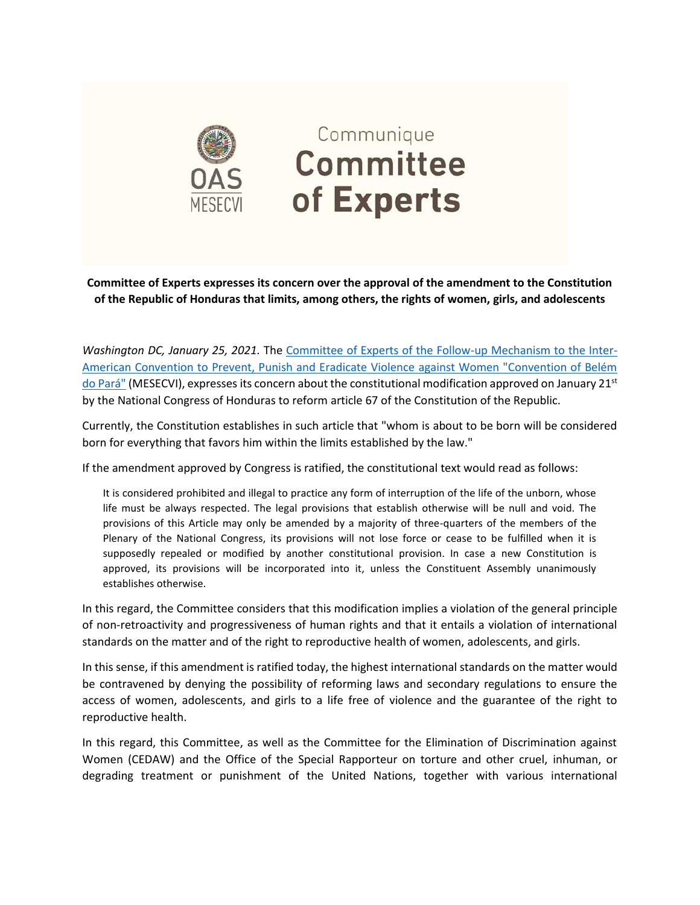

**Committee of Experts expresses its concern over the approval of the amendment to the Constitution of the Republic of Honduras that limits, among others, the rights of women, girls, and adolescents**

*Washington DC, January 25, 2021.* The [Committee of Experts of the Follow-up Mechanism to the Inter-](https://www.oas.org/en/mesecvi/Experts.asp)[American Convention to Prevent, Punish and Eradicate Violence against Women "Convention of Belém](https://www.oas.org/en/mesecvi/Experts.asp)  [do Pará"](https://www.oas.org/en/mesecvi/Experts.asp) (MESECVI), expresses its concern about the constitutional modification approved on January 21st by the National Congress of Honduras to reform article 67 of the Constitution of the Republic.

Currently, the Constitution establishes in such article that "whom is about to be born will be considered born for everything that favors him within the limits established by the law."

If the amendment approved by Congress is ratified, the constitutional text would read as follows:

It is considered prohibited and illegal to practice any form of interruption of the life of the unborn, whose life must be always respected. The legal provisions that establish otherwise will be null and void. The provisions of this Article may only be amended by a majority of three-quarters of the members of the Plenary of the National Congress, its provisions will not lose force or cease to be fulfilled when it is supposedly repealed or modified by another constitutional provision. In case a new Constitution is approved, its provisions will be incorporated into it, unless the Constituent Assembly unanimously establishes otherwise.

In this regard, the Committee considers that this modification implies a violation of the general principle of non-retroactivity and progressiveness of human rights and that it entails a violation of international standards on the matter and of the right to reproductive health of women, adolescents, and girls.

In this sense, if this amendment is ratified today, the highest international standards on the matter would be contravened by denying the possibility of reforming laws and secondary regulations to ensure the access of women, adolescents, and girls to a life free of violence and the guarantee of the right to reproductive health.

In this regard, this Committee, as well as the Committee for the Elimination of Discrimination against Women (CEDAW) and the Office of the Special Rapporteur on torture and other cruel, inhuman, or degrading treatment or punishment of the United Nations, together with various international